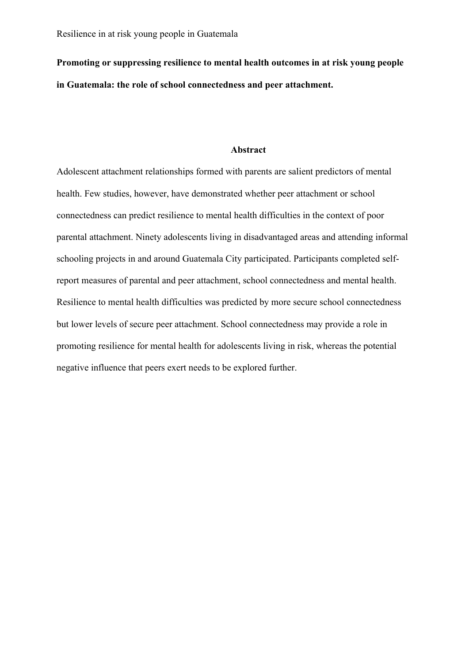**Promoting or suppressing resilience to mental health outcomes in at risk young people in Guatemala: the role of school connectedness and peer attachment.** 

#### **Abstract**

Adolescent attachment relationships formed with parents are salient predictors of mental health. Few studies, however, have demonstrated whether peer attachment or school connectedness can predict resilience to mental health difficulties in the context of poor parental attachment. Ninety adolescents living in disadvantaged areas and attending informal schooling projects in and around Guatemala City participated. Participants completed selfreport measures of parental and peer attachment, school connectedness and mental health. Resilience to mental health difficulties was predicted by more secure school connectedness but lower levels of secure peer attachment. School connectedness may provide a role in promoting resilience for mental health for adolescents living in risk, whereas the potential negative influence that peers exert needs to be explored further.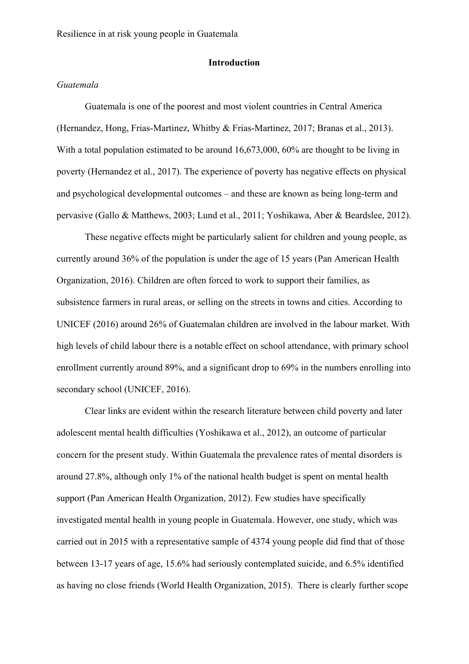# **Introduction**

# *Guatemala*

Guatemala is one of the poorest and most violent countries in Central America (Hernandez, Hong, Frias-Martinez, Whitby & Frias-Martinez, 2017; Branas et al., 2013). With a total population estimated to be around  $16,673,000, 60\%$  are thought to be living in poverty (Hernandez et al., 2017). The experience of poverty has negative effects on physical and psychological developmental outcomes – and these are known as being long-term and pervasive (Gallo & Matthews, 2003; Lund et al., 2011; Yoshikawa, Aber & Beardslee, 2012).

These negative effects might be particularly salient for children and young people, as currently around 36% of the population is under the age of 15 years (Pan American Health Organization, 2016). Children are often forced to work to support their families, as subsistence farmers in rural areas, or selling on the streets in towns and cities. According to UNICEF (2016) around 26% of Guatemalan children are involved in the labour market. With high levels of child labour there is a notable effect on school attendance, with primary school enrollment currently around 89%, and a significant drop to 69% in the numbers enrolling into secondary school (UNICEF, 2016).

Clear links are evident within the research literature between child poverty and later adolescent mental health difficulties (Yoshikawa et al., 2012), an outcome of particular concern for the present study. Within Guatemala the prevalence rates of mental disorders is around 27.8%, although only 1% of the national health budget is spent on mental health support (Pan American Health Organization, 2012). Few studies have specifically investigated mental health in young people in Guatemala. However, one study, which was carried out in 2015 with a representative sample of 4374 young people did find that of those between 13-17 years of age, 15.6% had seriously contemplated suicide, and 6.5% identified as having no close friends (World Health Organization, 2015). There is clearly further scope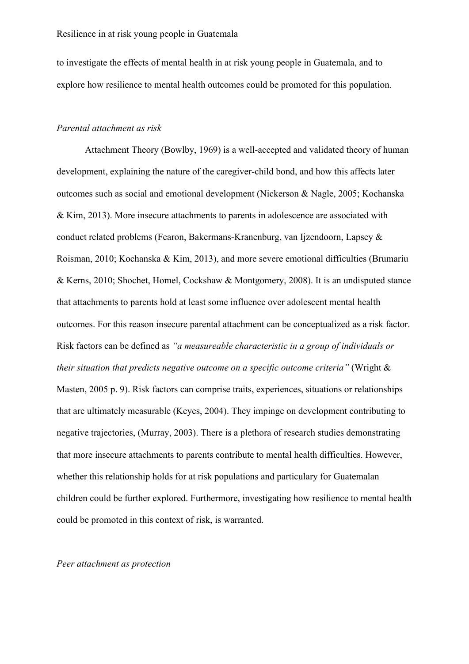to investigate the effects of mental health in at risk young people in Guatemala, and to explore how resilience to mental health outcomes could be promoted for this population.

# *Parental attachment as risk*

Attachment Theory (Bowlby, 1969) is a well-accepted and validated theory of human development, explaining the nature of the caregiver-child bond, and how this affects later outcomes such as social and emotional development (Nickerson & Nagle, 2005; Kochanska & Kim, 2013). More insecure attachments to parents in adolescence are associated with conduct related problems (Fearon, Bakermans-Kranenburg, van Ijzendoorn, Lapsey & Roisman, 2010; Kochanska & Kim, 2013), and more severe emotional difficulties (Brumariu & Kerns, 2010; Shochet, Homel, Cockshaw & Montgomery, 2008). It is an undisputed stance that attachments to parents hold at least some influence over adolescent mental health outcomes. For this reason insecure parental attachment can be conceptualized as a risk factor. Risk factors can be defined as *"a measureable characteristic in a group of individuals or their situation that predicts negative outcome on a specific outcome criteria"* (Wright & Masten, 2005 p. 9). Risk factors can comprise traits, experiences, situations or relationships that are ultimately measurable (Keyes, 2004). They impinge on development contributing to negative trajectories, (Murray, 2003). There is a plethora of research studies demonstrating that more insecure attachments to parents contribute to mental health difficulties. However, whether this relationship holds for at risk populations and particulary for Guatemalan children could be further explored. Furthermore, investigating how resilience to mental health could be promoted in this context of risk, is warranted.

#### *Peer attachment as protection*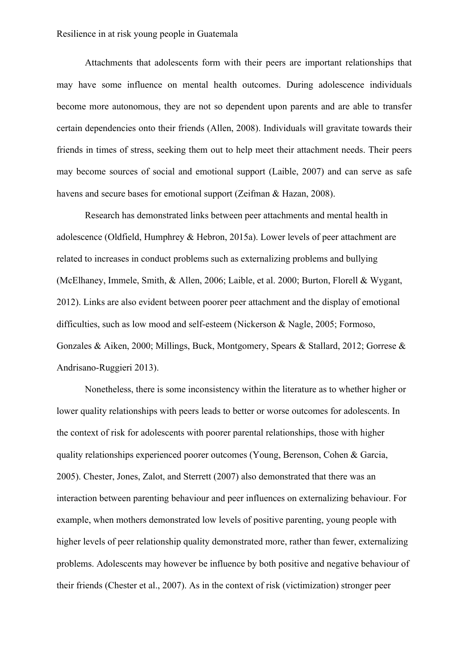Attachments that adolescents form with their peers are important relationships that may have some influence on mental health outcomes. During adolescence individuals become more autonomous, they are not so dependent upon parents and are able to transfer certain dependencies onto their friends (Allen, 2008). Individuals will gravitate towards their friends in times of stress, seeking them out to help meet their attachment needs. Their peers may become sources of social and emotional support (Laible, 2007) and can serve as safe havens and secure bases for emotional support (Zeifman & Hazan, 2008).

Research has demonstrated links between peer attachments and mental health in adolescence (Oldfield, Humphrey & Hebron, 2015a). Lower levels of peer attachment are related to increases in conduct problems such as externalizing problems and bullying (McElhaney, Immele, Smith, & Allen, 2006; Laible, et al. 2000; Burton, Florell & Wygant, 2012). Links are also evident between poorer peer attachment and the display of emotional difficulties, such as low mood and self-esteem (Nickerson & Nagle, 2005; Formoso, Gonzales & Aiken, 2000; Millings, Buck, Montgomery, Spears & Stallard, 2012; Gorrese & Andrisano-Ruggieri 2013).

Nonetheless, there is some inconsistency within the literature as to whether higher or lower quality relationships with peers leads to better or worse outcomes for adolescents. In the context of risk for adolescents with poorer parental relationships, those with higher quality relationships experienced poorer outcomes (Young, Berenson, Cohen & Garcia, 2005). Chester, Jones, Zalot, and Sterrett (2007) also demonstrated that there was an interaction between parenting behaviour and peer influences on externalizing behaviour. For example, when mothers demonstrated low levels of positive parenting, young people with higher levels of peer relationship quality demonstrated more, rather than fewer, externalizing problems. Adolescents may however be influence by both positive and negative behaviour of their friends (Chester et al., 2007). As in the context of risk (victimization) stronger peer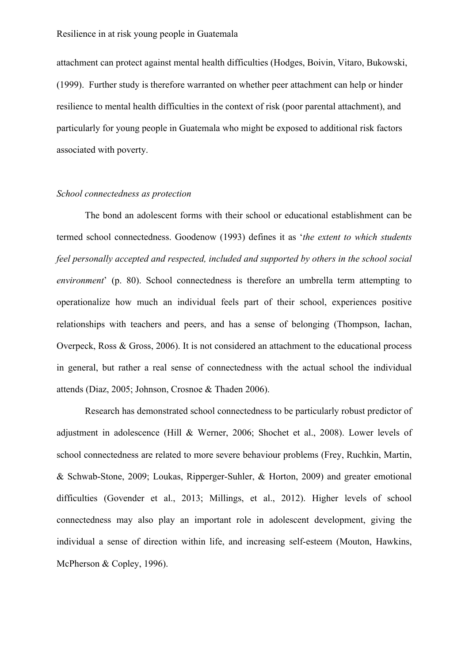attachment can protect against mental health difficulties (Hodges, Boivin, Vitaro, Bukowski, (1999). Further study is therefore warranted on whether peer attachment can help or hinder resilience to mental health difficulties in the context of risk (poor parental attachment), and particularly for young people in Guatemala who might be exposed to additional risk factors associated with poverty.

### *School connectedness as protection*

The bond an adolescent forms with their school or educational establishment can be termed school connectedness. Goodenow (1993) defines it as '*the extent to which students feel personally accepted and respected, included and supported by others in the school social environment*' (p. 80). School connectedness is therefore an umbrella term attempting to operationalize how much an individual feels part of their school, experiences positive relationships with teachers and peers, and has a sense of belonging (Thompson, Iachan, Overpeck, Ross & Gross, 2006). It is not considered an attachment to the educational process in general, but rather a real sense of connectedness with the actual school the individual attends (Diaz, 2005; Johnson, Crosnoe & Thaden 2006).

Research has demonstrated school connectedness to be particularly robust predictor of adjustment in adolescence (Hill & Werner, 2006; Shochet et al., 2008). Lower levels of school connectedness are related to more severe behaviour problems (Frey, Ruchkin, Martin, & Schwab-Stone, 2009; Loukas, Ripperger-Suhler, & Horton, 2009) and greater emotional difficulties (Govender et al., 2013; Millings, et al., 2012). Higher levels of school connectedness may also play an important role in adolescent development, giving the individual a sense of direction within life, and increasing self-esteem (Mouton, Hawkins, McPherson & Copley, 1996).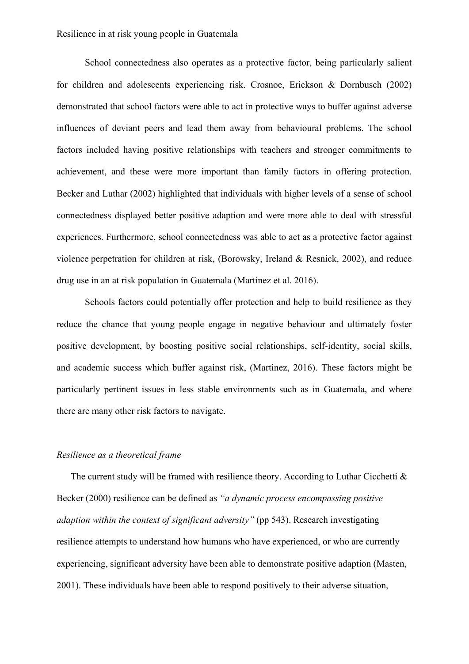School connectedness also operates as a protective factor, being particularly salient for children and adolescents experiencing risk. Crosnoe, Erickson & Dornbusch (2002) demonstrated that school factors were able to act in protective ways to buffer against adverse influences of deviant peers and lead them away from behavioural problems. The school factors included having positive relationships with teachers and stronger commitments to achievement, and these were more important than family factors in offering protection. Becker and Luthar (2002) highlighted that individuals with higher levels of a sense of school connectedness displayed better positive adaption and were more able to deal with stressful experiences. Furthermore, school connectedness was able to act as a protective factor against violence perpetration for children at risk, (Borowsky, Ireland & Resnick, 2002), and reduce drug use in an at risk population in Guatemala (Martinez et al. 2016).

Schools factors could potentially offer protection and help to build resilience as they reduce the chance that young people engage in negative behaviour and ultimately foster positive development, by boosting positive social relationships, self-identity, social skills, and academic success which buffer against risk, (Martinez, 2016). These factors might be particularly pertinent issues in less stable environments such as in Guatemala, and where there are many other risk factors to navigate.

# *Resilience as a theoretical frame*

The current study will be framed with resilience theory. According to Luthar Cicchetti  $\&$ Becker (2000) resilience can be defined as *"a dynamic process encompassing positive adaption within the context of significant adversity"* (pp 543). Research investigating resilience attempts to understand how humans who have experienced, or who are currently experiencing, significant adversity have been able to demonstrate positive adaption (Masten, 2001). These individuals have been able to respond positively to their adverse situation,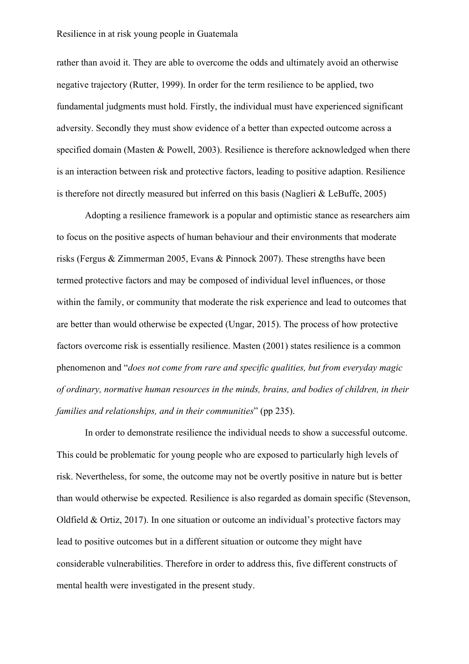rather than avoid it. They are able to overcome the odds and ultimately avoid an otherwise negative trajectory (Rutter, 1999). In order for the term resilience to be applied, two fundamental judgments must hold. Firstly, the individual must have experienced significant adversity. Secondly they must show evidence of a better than expected outcome across a specified domain (Masten & Powell, 2003). Resilience is therefore acknowledged when there is an interaction between risk and protective factors, leading to positive adaption. Resilience is therefore not directly measured but inferred on this basis (Naglieri & LeBuffe, 2005)

Adopting a resilience framework is a popular and optimistic stance as researchers aim to focus on the positive aspects of human behaviour and their environments that moderate risks (Fergus & Zimmerman 2005, Evans & Pinnock 2007). These strengths have been termed protective factors and may be composed of individual level influences, or those within the family, or community that moderate the risk experience and lead to outcomes that are better than would otherwise be expected (Ungar, 2015). The process of how protective factors overcome risk is essentially resilience. Masten (2001) states resilience is a common phenomenon and "*does not come from rare and specific qualities, but from everyday magic of ordinary, normative human resources in the minds, brains, and bodies of children, in their families and relationships, and in their communities*" (pp 235).

In order to demonstrate resilience the individual needs to show a successful outcome. This could be problematic for young people who are exposed to particularly high levels of risk. Nevertheless, for some, the outcome may not be overtly positive in nature but is better than would otherwise be expected. Resilience is also regarded as domain specific (Stevenson, Oldfield & Ortiz, 2017). In one situation or outcome an individual's protective factors may lead to positive outcomes but in a different situation or outcome they might have considerable vulnerabilities. Therefore in order to address this, five different constructs of mental health were investigated in the present study.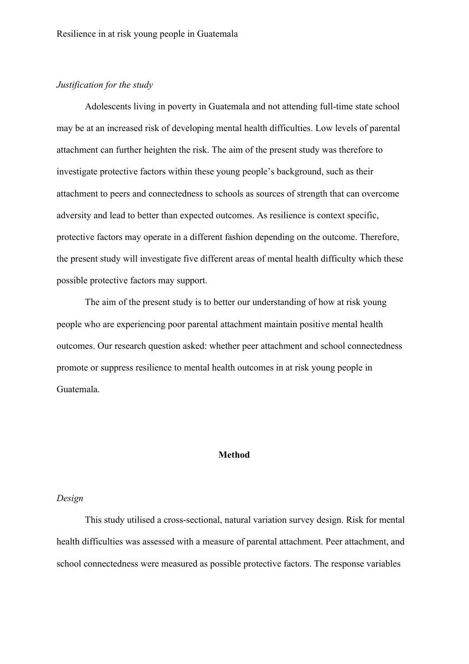# *Justification for the study*

Adolescents living in poverty in Guatemala and not attending full-time state school may be at an increased risk of developing mental health difficulties. Low levels of parental attachment can further heighten the risk. The aim of the present study was therefore to investigate protective factors within these young people's background, such as their attachment to peers and connectedness to schools as sources of strength that can overcome adversity and lead to better than expected outcomes. As resilience is context specific, protective factors may operate in a different fashion depending on the outcome. Therefore, the present study will investigate five different areas of mental health difficulty which these possible protective factors may support.

The aim of the present study is to better our understanding of how at risk young people who are experiencing poor parental attachment maintain positive mental health outcomes. Our research question asked: whether peer attachment and school connectedness promote or suppress resilience to mental health outcomes in at risk young people in Guatemala.

# **Method**

# *Design*

This study utilised a cross-sectional, natural variation survey design. Risk for mental health difficulties was assessed with a measure of parental attachment. Peer attachment, and school connectedness were measured as possible protective factors. The response variables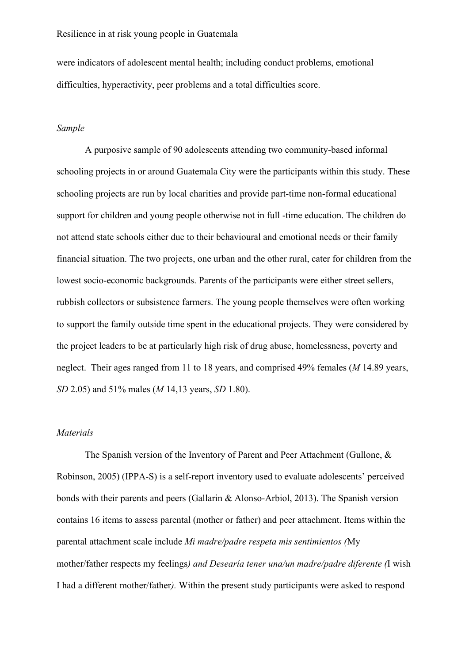were indicators of adolescent mental health; including conduct problems, emotional difficulties, hyperactivity, peer problems and a total difficulties score.

# *Sample*

A purposive sample of 90 adolescents attending two community-based informal schooling projects in or around Guatemala City were the participants within this study. These schooling projects are run by local charities and provide part-time non-formal educational support for children and young people otherwise not in full -time education. The children do not attend state schools either due to their behavioural and emotional needs or their family financial situation. The two projects, one urban and the other rural, cater for children from the lowest socio-economic backgrounds. Parents of the participants were either street sellers, rubbish collectors or subsistence farmers. The young people themselves were often working to support the family outside time spent in the educational projects. They were considered by the project leaders to be at particularly high risk of drug abuse, homelessness, poverty and neglect. Their ages ranged from 11 to 18 years, and comprised 49% females (*M* 14.89 years, *SD* 2.05) and 51% males (*M* 14,13 years, *SD* 1.80).

#### *Materials*

The Spanish version of the Inventory of Parent and Peer Attachment (Gullone, & Robinson, 2005) (IPPA-S) is a self-report inventory used to evaluate adolescents' perceived bonds with their parents and peers (Gallarin & Alonso-Arbiol, 2013). The Spanish version contains 16 items to assess parental (mother or father) and peer attachment. Items within the parental attachment scale include *Mi madre/padre respeta mis sentimientos (*My mother/father respects my feelings*) and Desearía tener una/un madre/padre diferente (*I wish I had a different mother/father*).* Within the present study participants were asked to respond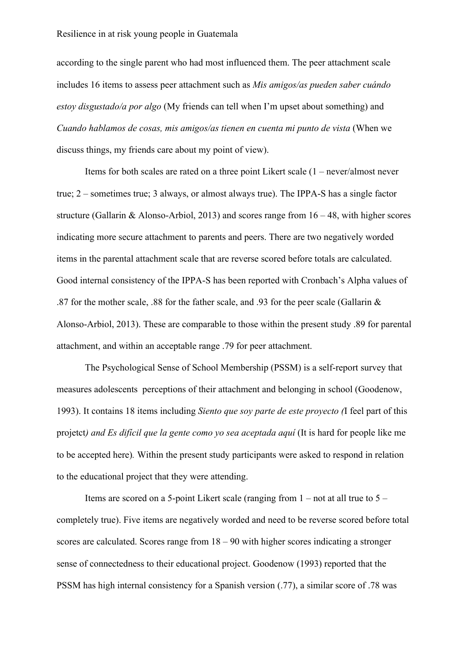according to the single parent who had most influenced them. The peer attachment scale includes 16 items to assess peer attachment such as *Mis amigos/as pueden saber cuándo estoy disgustado/a por algo* (My friends can tell when I'm upset about something) and *Cuando hablamos de cosas, mis amigos/as tienen en cuenta mi punto de vista* (When we discuss things, my friends care about my point of view).

Items for both scales are rated on a three point Likert scale (1 – never/almost never true; 2 – sometimes true; 3 always, or almost always true). The IPPA-S has a single factor structure (Gallarin & Alonso-Arbiol, 2013) and scores range from  $16 - 48$ , with higher scores indicating more secure attachment to parents and peers. There are two negatively worded items in the parental attachment scale that are reverse scored before totals are calculated. Good internal consistency of the IPPA-S has been reported with Cronbach's Alpha values of .87 for the mother scale, .88 for the father scale, and .93 for the peer scale (Gallarin & Alonso-Arbiol, 2013). These are comparable to those within the present study .89 for parental attachment, and within an acceptable range .79 for peer attachment.

The Psychological Sense of School Membership (PSSM) is a self-report survey that measures adolescents perceptions of their attachment and belonging in school (Goodenow, 1993). It contains 18 items including *Siento que soy parte de este proyecto (*I feel part of this projetct*) and Es difícil que la gente como yo sea aceptada aquí* (It is hard for people like me to be accepted here)*.* Within the present study participants were asked to respond in relation to the educational project that they were attending.

Items are scored on a 5-point Likert scale (ranging from  $1 - not$  at all true to  $5$ completely true). Five items are negatively worded and need to be reverse scored before total scores are calculated. Scores range from  $18 - 90$  with higher scores indicating a stronger sense of connectedness to their educational project. Goodenow (1993) reported that the PSSM has high internal consistency for a Spanish version (.77), a similar score of .78 was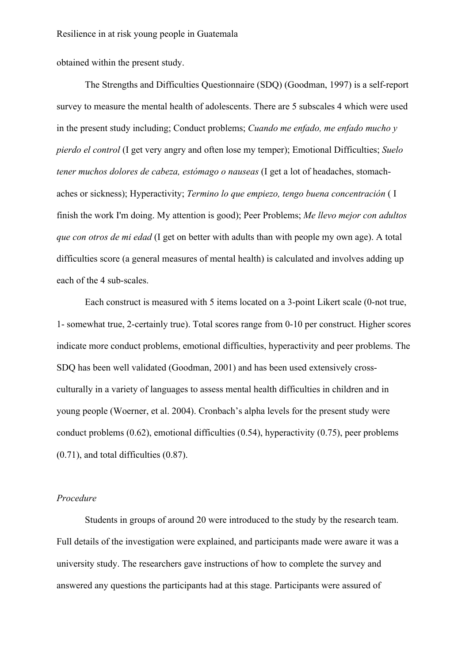obtained within the present study.

The Strengths and Difficulties Questionnaire (SDQ) (Goodman, 1997) is a self-report survey to measure the mental health of adolescents. There are 5 subscales 4 which were used in the present study including; Conduct problems; *Cuando me enfado, me enfado mucho y pierdo el control* (I get very angry and often lose my temper); Emotional Difficulties; *Suelo tener muchos dolores de cabeza, estómago o nauseas* (I get a lot of headaches, stomachaches or sickness); Hyperactivity; *Termino lo que empiezo, tengo buena concentración* ( I finish the work I'm doing. My attention is good); Peer Problems; *Me llevo mejor con adultos que con otros de mi edad* (I get on better with adults than with people my own age). A total difficulties score (a general measures of mental health) is calculated and involves adding up each of the 4 sub-scales.

Each construct is measured with 5 items located on a 3-point Likert scale (0-not true, 1- somewhat true, 2-certainly true). Total scores range from 0-10 per construct. Higher scores indicate more conduct problems, emotional difficulties, hyperactivity and peer problems. The SDQ has been well validated (Goodman, 2001) and has been used extensively crossculturally in a variety of languages to assess mental health difficulties in children and in young people (Woerner, et al. 2004). Cronbach's alpha levels for the present study were conduct problems  $(0.62)$ , emotional difficulties  $(0.54)$ , hyperactivity  $(0.75)$ , peer problems (0.71), and total difficulties (0.87).

# *Procedure*

Students in groups of around 20 were introduced to the study by the research team. Full details of the investigation were explained, and participants made were aware it was a university study. The researchers gave instructions of how to complete the survey and answered any questions the participants had at this stage. Participants were assured of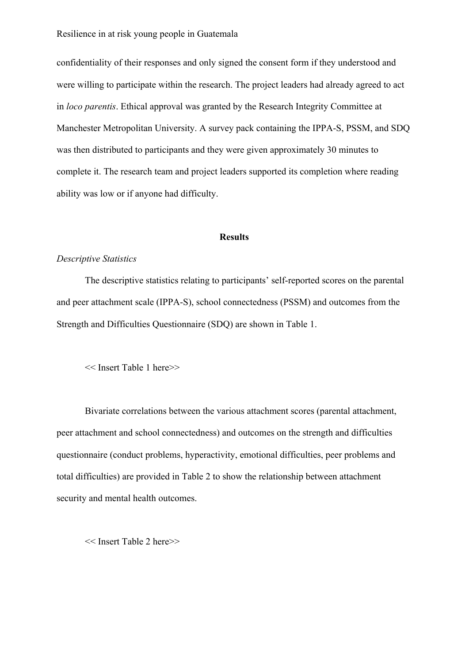confidentiality of their responses and only signed the consent form if they understood and were willing to participate within the research. The project leaders had already agreed to act in *loco parentis*. Ethical approval was granted by the Research Integrity Committee at Manchester Metropolitan University. A survey pack containing the IPPA-S, PSSM, and SDQ was then distributed to participants and they were given approximately 30 minutes to complete it. The research team and project leaders supported its completion where reading ability was low or if anyone had difficulty.

# **Results**

#### *Descriptive Statistics*

The descriptive statistics relating to participants' self-reported scores on the parental and peer attachment scale (IPPA-S), school connectedness (PSSM) and outcomes from the Strength and Difficulties Questionnaire (SDQ) are shown in Table 1.

<< Insert Table 1 here>>

Bivariate correlations between the various attachment scores (parental attachment, peer attachment and school connectedness) and outcomes on the strength and difficulties questionnaire (conduct problems, hyperactivity, emotional difficulties, peer problems and total difficulties) are provided in Table 2 to show the relationship between attachment security and mental health outcomes.

<< Insert Table 2 here>>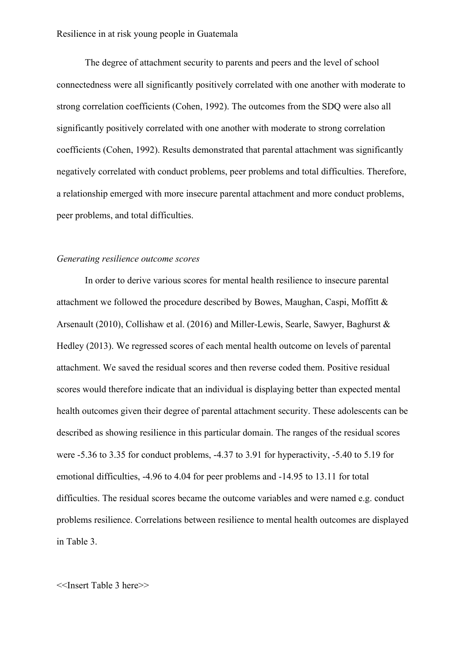The degree of attachment security to parents and peers and the level of school connectedness were all significantly positively correlated with one another with moderate to strong correlation coefficients (Cohen, 1992). The outcomes from the SDQ were also all significantly positively correlated with one another with moderate to strong correlation coefficients (Cohen, 1992). Results demonstrated that parental attachment was significantly negatively correlated with conduct problems, peer problems and total difficulties. Therefore, a relationship emerged with more insecure parental attachment and more conduct problems, peer problems, and total difficulties.

#### *Generating resilience outcome scores*

In order to derive various scores for mental health resilience to insecure parental attachment we followed the procedure described by Bowes, Maughan, Caspi, Moffitt & Arsenault (2010), Collishaw et al. (2016) and Miller-Lewis, Searle, Sawyer, Baghurst & Hedley (2013). We regressed scores of each mental health outcome on levels of parental attachment. We saved the residual scores and then reverse coded them. Positive residual scores would therefore indicate that an individual is displaying better than expected mental health outcomes given their degree of parental attachment security. These adolescents can be described as showing resilience in this particular domain. The ranges of the residual scores were -5.36 to 3.35 for conduct problems, -4.37 to 3.91 for hyperactivity, -5.40 to 5.19 for emotional difficulties, -4.96 to 4.04 for peer problems and -14.95 to 13.11 for total difficulties. The residual scores became the outcome variables and were named e.g. conduct problems resilience. Correlations between resilience to mental health outcomes are displayed in Table 3.

## <<Insert Table 3 here>>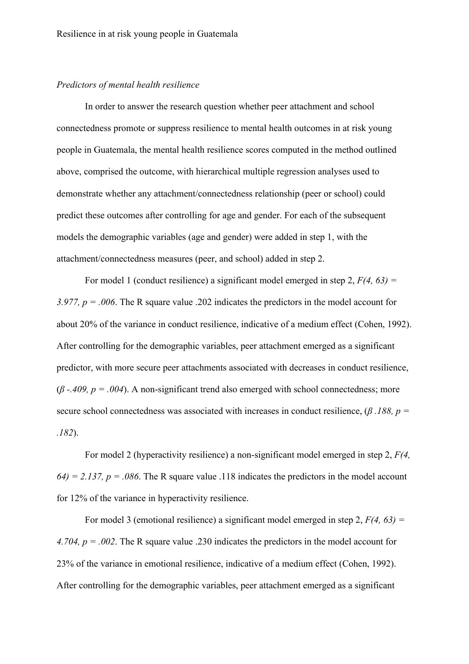# *Predictors of mental health resilience*

In order to answer the research question whether peer attachment and school connectedness promote or suppress resilience to mental health outcomes in at risk young people in Guatemala, the mental health resilience scores computed in the method outlined above, comprised the outcome, with hierarchical multiple regression analyses used to demonstrate whether any attachment/connectedness relationship (peer or school) could predict these outcomes after controlling for age and gender. For each of the subsequent models the demographic variables (age and gender) were added in step 1, with the attachment/connectedness measures (peer, and school) added in step 2.

For model 1 (conduct resilience) a significant model emerged in step 2, *F(4, 63) = 3.977, p = .006*. The R square value .202 indicates the predictors in the model account for about 20% of the variance in conduct resilience, indicative of a medium effect (Cohen, 1992). After controlling for the demographic variables, peer attachment emerged as a significant predictor, with more secure peer attachments associated with decreases in conduct resilience, (*β -.409, p = .004*). A non-significant trend also emerged with school connectedness; more secure school connectedness was associated with increases in conduct resilience, (*β .188, p = .182*).

For model 2 (hyperactivity resilience) a non-significant model emerged in step 2, *F(4,*   $64$ ) = 2.137, p = .086. The R square value .118 indicates the predictors in the model account for 12% of the variance in hyperactivity resilience.

For model 3 (emotional resilience) a significant model emerged in step 2, *F(4, 63) = 4.704, p = .002*. The R square value .230 indicates the predictors in the model account for 23% of the variance in emotional resilience, indicative of a medium effect (Cohen, 1992). After controlling for the demographic variables, peer attachment emerged as a significant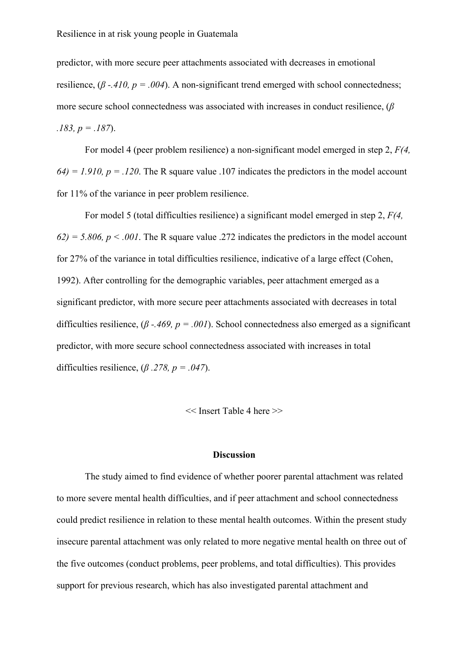predictor, with more secure peer attachments associated with decreases in emotional resilience, (*β -.410, p = .004*). A non-significant trend emerged with school connectedness; more secure school connectedness was associated with increases in conduct resilience, (*β .183, p = .187*).

For model 4 (peer problem resilience) a non-significant model emerged in step 2, *F(4,*   $64$ ) = 1.910,  $p = 0.120$ . The R square value .107 indicates the predictors in the model account for 11% of the variance in peer problem resilience.

For model 5 (total difficulties resilience) a significant model emerged in step 2, *F(4,*   $62$ ) = 5.806, p < .001. The R square value .272 indicates the predictors in the model account for 27% of the variance in total difficulties resilience, indicative of a large effect (Cohen, 1992). After controlling for the demographic variables, peer attachment emerged as a significant predictor, with more secure peer attachments associated with decreases in total difficulties resilience, (*β -.469, p = .001*). School connectedness also emerged as a significant predictor, with more secure school connectedness associated with increases in total difficulties resilience,  $(\beta \cdot .278, p = .047)$ .

<< Insert Table 4 here >>

## **Discussion**

The study aimed to find evidence of whether poorer parental attachment was related to more severe mental health difficulties, and if peer attachment and school connectedness could predict resilience in relation to these mental health outcomes. Within the present study insecure parental attachment was only related to more negative mental health on three out of the five outcomes (conduct problems, peer problems, and total difficulties). This provides support for previous research, which has also investigated parental attachment and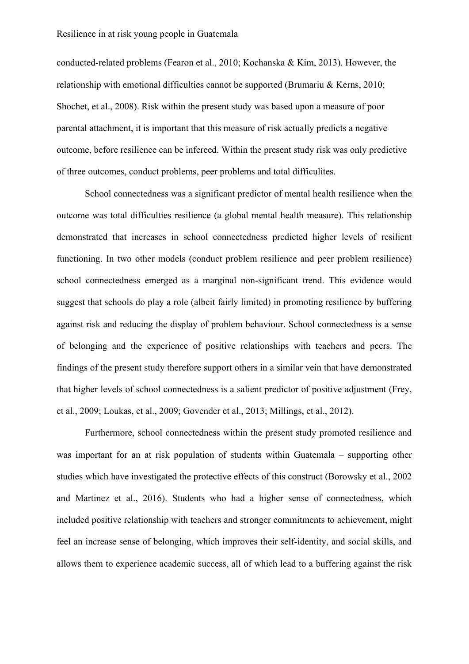conducted-related problems (Fearon et al., 2010; Kochanska & Kim, 2013). However, the relationship with emotional difficulties cannot be supported (Brumariu & Kerns, 2010; Shochet, et al., 2008). Risk within the present study was based upon a measure of poor parental attachment, it is important that this measure of risk actually predicts a negative outcome, before resilience can be infereed. Within the present study risk was only predictive of three outcomes, conduct problems, peer problems and total difficulites.

School connectedness was a significant predictor of mental health resilience when the outcome was total difficulties resilience (a global mental health measure). This relationship demonstrated that increases in school connectedness predicted higher levels of resilient functioning. In two other models (conduct problem resilience and peer problem resilience) school connectedness emerged as a marginal non-significant trend. This evidence would suggest that schools do play a role (albeit fairly limited) in promoting resilience by buffering against risk and reducing the display of problem behaviour. School connectedness is a sense of belonging and the experience of positive relationships with teachers and peers. The findings of the present study therefore support others in a similar vein that have demonstrated that higher levels of school connectedness is a salient predictor of positive adjustment (Frey, et al., 2009; Loukas, et al., 2009; Govender et al., 2013; Millings, et al., 2012).

Furthermore, school connectedness within the present study promoted resilience and was important for an at risk population of students within Guatemala – supporting other studies which have investigated the protective effects of this construct (Borowsky et al., 2002 and Martinez et al., 2016). Students who had a higher sense of connectedness, which included positive relationship with teachers and stronger commitments to achievement, might feel an increase sense of belonging, which improves their self-identity, and social skills, and allows them to experience academic success, all of which lead to a buffering against the risk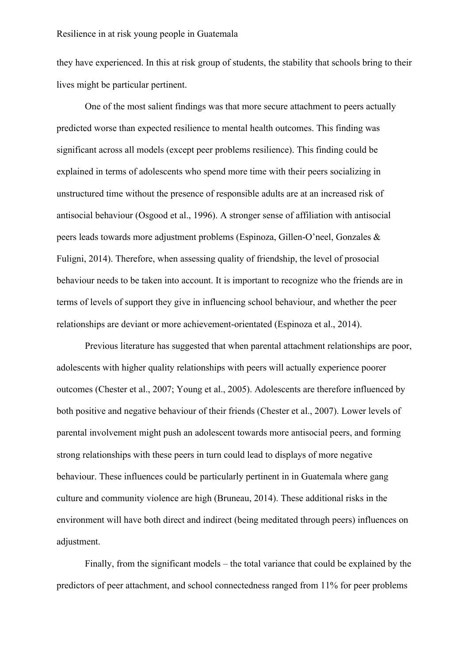they have experienced. In this at risk group of students, the stability that schools bring to their lives might be particular pertinent.

One of the most salient findings was that more secure attachment to peers actually predicted worse than expected resilience to mental health outcomes. This finding was significant across all models (except peer problems resilience). This finding could be explained in terms of adolescents who spend more time with their peers socializing in unstructured time without the presence of responsible adults are at an increased risk of antisocial behaviour (Osgood et al., 1996). A stronger sense of affiliation with antisocial peers leads towards more adjustment problems (Espinoza, Gillen-O'neel, Gonzales & Fuligni, 2014). Therefore, when assessing quality of friendship, the level of prosocial behaviour needs to be taken into account. It is important to recognize who the friends are in terms of levels of support they give in influencing school behaviour, and whether the peer relationships are deviant or more achievement-orientated (Espinoza et al., 2014).

Previous literature has suggested that when parental attachment relationships are poor, adolescents with higher quality relationships with peers will actually experience poorer outcomes (Chester et al., 2007; Young et al., 2005). Adolescents are therefore influenced by both positive and negative behaviour of their friends (Chester et al., 2007). Lower levels of parental involvement might push an adolescent towards more antisocial peers, and forming strong relationships with these peers in turn could lead to displays of more negative behaviour. These influences could be particularly pertinent in in Guatemala where gang culture and community violence are high (Bruneau, 2014). These additional risks in the environment will have both direct and indirect (being meditated through peers) influences on adjustment.

Finally, from the significant models – the total variance that could be explained by the predictors of peer attachment, and school connectedness ranged from 11% for peer problems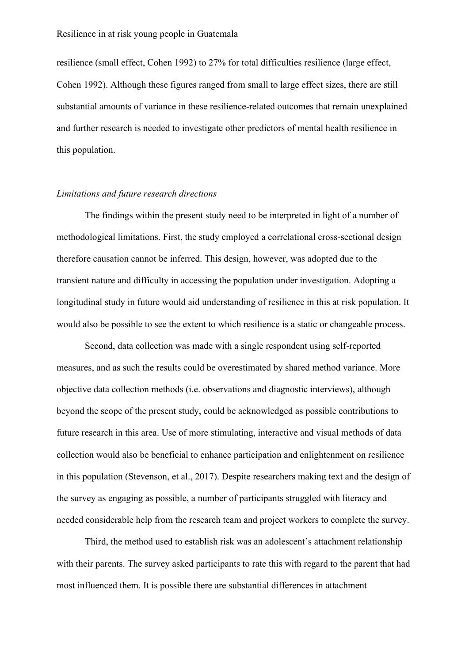resilience (small effect, Cohen 1992) to 27% for total difficulties resilience (large effect, Cohen 1992). Although these figures ranged from small to large effect sizes, there are still substantial amounts of variance in these resilience-related outcomes that remain unexplained and further research is needed to investigate other predictors of mental health resilience in this population.

### *Limitations and future research directions*

The findings within the present study need to be interpreted in light of a number of methodological limitations. First, the study employed a correlational cross-sectional design therefore causation cannot be inferred. This design, however, was adopted due to the transient nature and difficulty in accessing the population under investigation. Adopting a longitudinal study in future would aid understanding of resilience in this at risk population. It would also be possible to see the extent to which resilience is a static or changeable process.

Second, data collection was made with a single respondent using self-reported measures, and as such the results could be overestimated by shared method variance. More objective data collection methods (i.e. observations and diagnostic interviews), although beyond the scope of the present study, could be acknowledged as possible contributions to future research in this area. Use of more stimulating, interactive and visual methods of data collection would also be beneficial to enhance participation and enlightenment on resilience in this population (Stevenson, et al., 2017). Despite researchers making text and the design of the survey as engaging as possible, a number of participants struggled with literacy and needed considerable help from the research team and project workers to complete the survey.

Third, the method used to establish risk was an adolescent's attachment relationship with their parents. The survey asked participants to rate this with regard to the parent that had most influenced them. It is possible there are substantial differences in attachment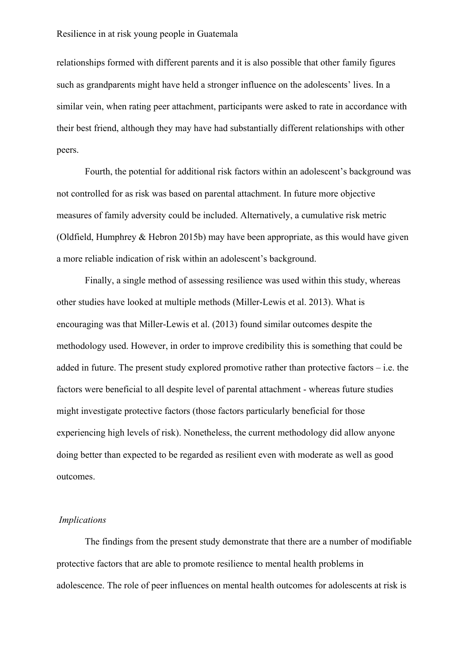relationships formed with different parents and it is also possible that other family figures such as grandparents might have held a stronger influence on the adolescents' lives. In a similar vein, when rating peer attachment, participants were asked to rate in accordance with their best friend, although they may have had substantially different relationships with other peers.

Fourth, the potential for additional risk factors within an adolescent's background was not controlled for as risk was based on parental attachment. In future more objective measures of family adversity could be included. Alternatively, a cumulative risk metric (Oldfield, Humphrey & Hebron 2015b) may have been appropriate, as this would have given a more reliable indication of risk within an adolescent's background.

Finally, a single method of assessing resilience was used within this study, whereas other studies have looked at multiple methods (Miller-Lewis et al. 2013). What is encouraging was that Miller-Lewis et al. (2013) found similar outcomes despite the methodology used. However, in order to improve credibility this is something that could be added in future. The present study explored promotive rather than protective factors – i.e. the factors were beneficial to all despite level of parental attachment - whereas future studies might investigate protective factors (those factors particularly beneficial for those experiencing high levels of risk). Nonetheless, the current methodology did allow anyone doing better than expected to be regarded as resilient even with moderate as well as good outcomes.

## *Implications*

The findings from the present study demonstrate that there are a number of modifiable protective factors that are able to promote resilience to mental health problems in adolescence. The role of peer influences on mental health outcomes for adolescents at risk is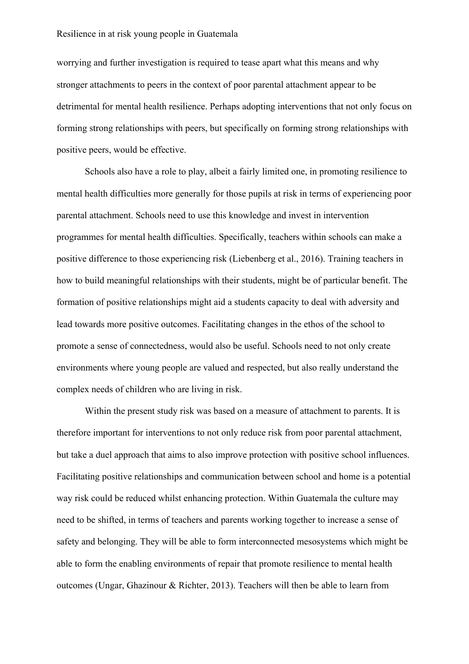worrying and further investigation is required to tease apart what this means and why stronger attachments to peers in the context of poor parental attachment appear to be detrimental for mental health resilience. Perhaps adopting interventions that not only focus on forming strong relationships with peers, but specifically on forming strong relationships with positive peers, would be effective.

Schools also have a role to play, albeit a fairly limited one, in promoting resilience to mental health difficulties more generally for those pupils at risk in terms of experiencing poor parental attachment. Schools need to use this knowledge and invest in intervention programmes for mental health difficulties. Specifically, teachers within schools can make a positive difference to those experiencing risk (Liebenberg et al., 2016). Training teachers in how to build meaningful relationships with their students, might be of particular benefit. The formation of positive relationships might aid a students capacity to deal with adversity and lead towards more positive outcomes. Facilitating changes in the ethos of the school to promote a sense of connectedness, would also be useful. Schools need to not only create environments where young people are valued and respected, but also really understand the complex needs of children who are living in risk.

Within the present study risk was based on a measure of attachment to parents. It is therefore important for interventions to not only reduce risk from poor parental attachment, but take a duel approach that aims to also improve protection with positive school influences. Facilitating positive relationships and communication between school and home is a potential way risk could be reduced whilst enhancing protection. Within Guatemala the culture may need to be shifted, in terms of teachers and parents working together to increase a sense of safety and belonging. They will be able to form interconnected mesosystems which might be able to form the enabling environments of repair that promote resilience to mental health outcomes (Ungar, Ghazinour & Richter, 2013). Teachers will then be able to learn from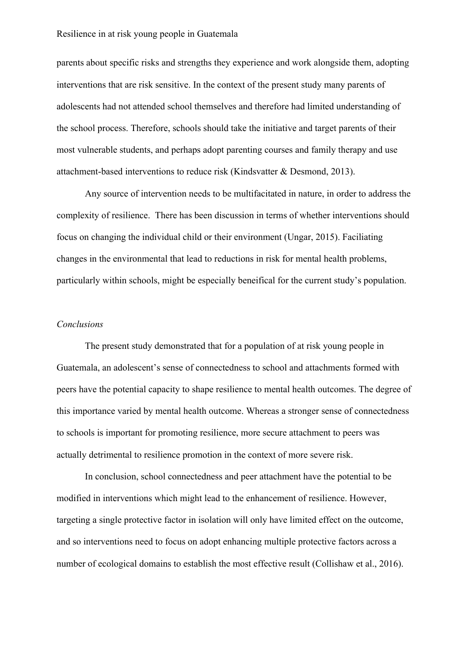parents about specific risks and strengths they experience and work alongside them, adopting interventions that are risk sensitive. In the context of the present study many parents of adolescents had not attended school themselves and therefore had limited understanding of the school process. Therefore, schools should take the initiative and target parents of their most vulnerable students, and perhaps adopt parenting courses and family therapy and use attachment-based interventions to reduce risk (Kindsvatter & Desmond, 2013).

Any source of intervention needs to be multifacitated in nature, in order to address the complexity of resilience. There has been discussion in terms of whether interventions should focus on changing the individual child or their environment (Ungar, 2015). Faciliating changes in the environmental that lead to reductions in risk for mental health problems, particularly within schools, might be especially beneifical for the current study's population.

# *Conclusions*

The present study demonstrated that for a population of at risk young people in Guatemala, an adolescent's sense of connectedness to school and attachments formed with peers have the potential capacity to shape resilience to mental health outcomes. The degree of this importance varied by mental health outcome. Whereas a stronger sense of connectedness to schools is important for promoting resilience, more secure attachment to peers was actually detrimental to resilience promotion in the context of more severe risk.

In conclusion, school connectedness and peer attachment have the potential to be modified in interventions which might lead to the enhancement of resilience. However, targeting a single protective factor in isolation will only have limited effect on the outcome, and so interventions need to focus on adopt enhancing multiple protective factors across a number of ecological domains to establish the most effective result (Collishaw et al., 2016).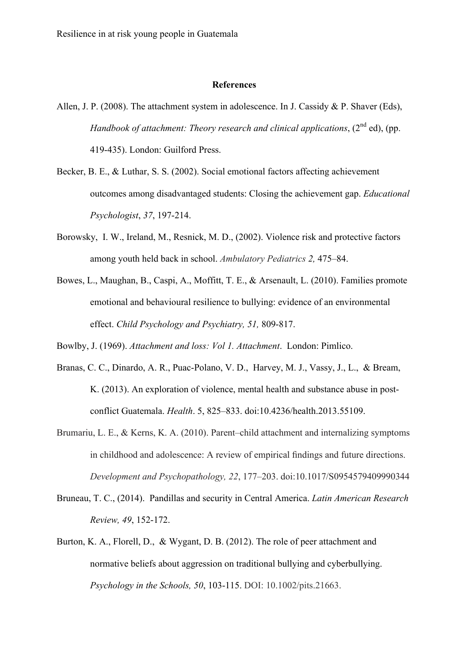#### **References**

- Allen, J. P. (2008). The attachment system in adolescence. In J. Cassidy & P. Shaver (Eds), *Handbook of attachment: Theory research and clinical applications*, (2<sup>nd</sup> ed), (pp. 419-435). London: Guilford Press.
- Becker, B. E., & Luthar, S. S. (2002). Social emotional factors affecting achievement outcomes among disadvantaged students: Closing the achievement gap. *Educational Psychologist*, *37*, 197-214.
- Borowsky, I. W., Ireland, M., Resnick, M. D., (2002). Violence risk and protective factors among youth held back in school. *Ambulatory Pediatrics 2,* 475–84.
- Bowes, L., Maughan, B., Caspi, A., Moffitt, T. E., & Arsenault, L. (2010). Families promote emotional and behavioural resilience to bullying: evidence of an environmental effect. *Child Psychology and Psychiatry, 51,* 809-817.

Bowlby, J. (1969). *Attachment and loss: Vol 1. Attachment*. London: Pimlico.

- Branas, C. C., Dinardo, A. R., Puac-Polano, V. D., Harvey, M. J., Vassy, J., L., & Bream, K. (2013). An exploration of violence, mental health and substance abuse in postconflict Guatemala. *Health*. 5, 825–833. doi:10.4236/health.2013.55109.
- Brumariu, L. E., & Kerns, K. A. (2010). Parent–child attachment and internalizing symptoms in childhood and adolescence: A review of empirical findings and future directions. *Development and Psychopathology, 22*, 177–203. doi:10.1017/S0954579409990344
- Bruneau, T. C., (2014). Pandillas and security in Central America. *Latin American Research Review, 49*, 152-172.
- Burton, K. A., Florell, D., & Wygant, D. B. (2012). The role of peer attachment and normative beliefs about aggression on traditional bullying and cyberbullying. *Psychology in the Schools, 50*, 103-115. DOI: 10.1002/pits.21663.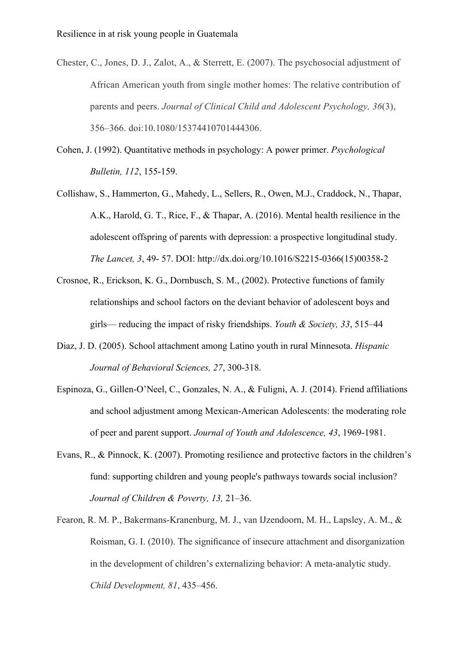Chester, C., Jones, D. J., Zalot, A., & Sterrett, E. (2007). The psychosocial adjustment of African American youth from single mother homes: The relative contribution of parents and peers. *Journal of Clinical Child and Adolescent Psychology, 36*(3), 356–366. doi:10.1080/15374410701444306.

- Cohen, J. (1992). Quantitative methods in psychology: A power primer. *Psychological Bulletin, 112*, 155-159.
- Collishaw, S., Hammerton, G., Mahedy, L., Sellers, R., Owen, M.J., Craddock, N., Thapar, A.K., Harold, G. T., Rice, F., & Thapar, A. (2016). Mental health resilience in the adolescent offspring of parents with depression: a prospective longitudinal study. *The Lancet, 3*, 49- 57. DOI: http://dx.doi.org/10.1016/S2215-0366(15)00358-2
- Crosnoe, R., Erickson, K. G., Dornbusch, S. M., (2002). Protective functions of family relationships and school factors on the deviant behavior of adolescent boys and girls— reducing the impact of risky friendships. *Youth & Society, 33*, 515–44
- Diaz, J. D. (2005). School attachment among Latino youth in rural Minnesota. *Hispanic Journal of Behavioral Sciences, 27*, 300-318.
- Espinoza, G., Gillen-O'Neel, C., Gonzales, N. A., & Fuligni, A. J. (2014). Friend affiliations and school adjustment among Mexican-American Adolescents: the moderating role of peer and parent support. *Journal of Youth and Adolescence, 43*, 1969-1981.
- Evans, R., & Pinnock, K. (2007). Promoting resilience and protective factors in the children's fund: supporting children and young people's pathways towards social inclusion? *Journal of Children & Poverty, 13,* 21–36.
- Fearon, R. M. P., Bakermans-Kranenburg, M. J., van IJzendoorn, M. H., Lapsley, A. M., & Roisman, G. I. (2010). The significance of insecure attachment and disorganization in the development of children's externalizing behavior: A meta-analytic study. *Child Development, 81*, 435–456.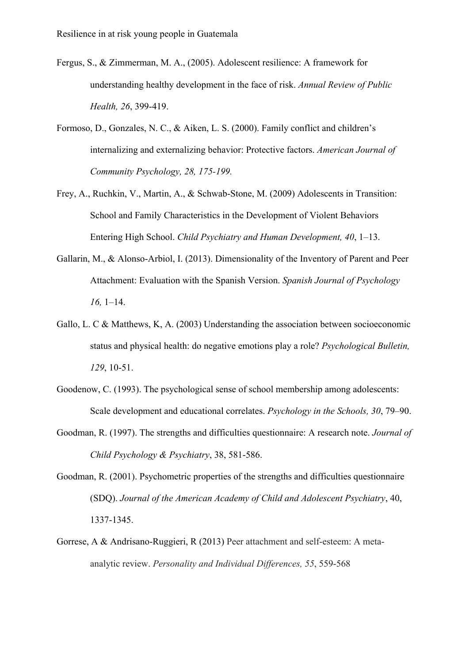- Fergus, S., & Zimmerman, M. A., (2005). Adolescent resilience: A framework for understanding healthy development in the face of risk. *Annual Review of Public Health, 26*, 399-419.
- Formoso, D., Gonzales, N. C., & Aiken, L. S. (2000). Family conflict and children's internalizing and externalizing behavior: Protective factors. *American Journal of Community Psychology, 28, 175-199.*
- Frey, A., Ruchkin, V., Martin, A., & Schwab-Stone, M. (2009) Adolescents in Transition: School and Family Characteristics in the Development of Violent Behaviors Entering High School. *Child Psychiatry and Human Development, 40*, 1–13.
- Gallarin, M., & Alonso-Arbiol, I. (2013). Dimensionality of the Inventory of Parent and Peer Attachment: Evaluation with the Spanish Version. *Spanish Journal of Psychology 16,* 1–14.
- Gallo, L. C & Matthews, K, A. (2003) Understanding the association between socioeconomic status and physical health: do negative emotions play a role? *Psychological Bulletin, 129*, 10-51.
- Goodenow, C. (1993). The psychological sense of school membership among adolescents: Scale development and educational correlates. *Psychology in the Schools, 30*, 79–90.
- Goodman, R. (1997). The strengths and difficulties questionnaire: A research note. *Journal of Child Psychology & Psychiatry*, 38, 581-586.
- Goodman, R. (2001). Psychometric properties of the strengths and difficulties questionnaire (SDQ). *Journal of the American Academy of Child and Adolescent Psychiatry*, 40, 1337-1345.
- Gorrese, A & Andrisano-Ruggieri, R (2013) Peer attachment and self-esteem: A metaanalytic review. *Personality and Individual Differences, 55*, 559-568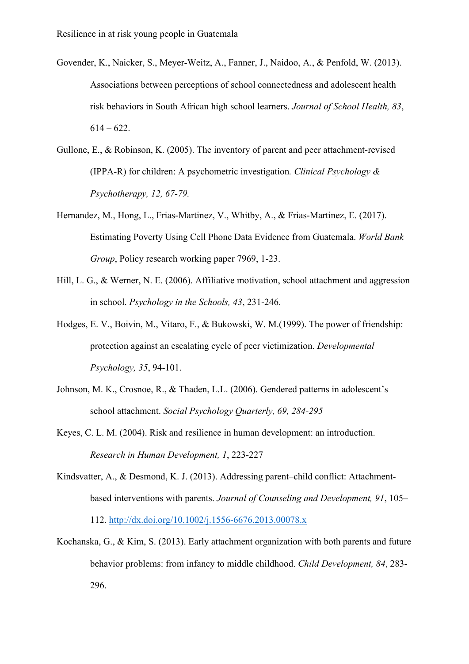- Govender, K., Naicker, S., Meyer-Weitz, A., Fanner, J., Naidoo, A., & Penfold, W. (2013). Associations between perceptions of school connectedness and adolescent health risk behaviors in South African high school learners. *Journal of School Health, 83*,  $614 - 622$ .
- Gullone, E., & Robinson, K. (2005). The inventory of parent and peer attachment-revised (IPPA-R) for children: A psychometric investigation*. Clinical Psychology & Psychotherapy, 12, 67-79.*
- Hernandez, M., Hong, L., Frias-Martinez, V., Whitby, A., & Frias-Martinez, E. (2017). Estimating Poverty Using Cell Phone Data Evidence from Guatemala. *World Bank Group*, Policy research working paper 7969, 1-23.
- Hill, L. G., & Werner, N. E. (2006). Affiliative motivation, school attachment and aggression in school. *Psychology in the Schools, 43*, 231-246.
- Hodges, E. V., Boivin, M., Vitaro, F., & Bukowski, W. M.(1999). The power of friendship: protection against an escalating cycle of peer victimization. *Developmental Psychology, 35*, 94-101.
- Johnson, M. K., Crosnoe, R., & Thaden, L.L. (2006). Gendered patterns in adolescent's school attachment. *Social Psychology Quarterly, 69, 284-295*
- Keyes, C. L. M. (2004). Risk and resilience in human development: an introduction. *Research in Human Development, 1*, 223-227
- Kindsvatter, A., & Desmond, K. J. (2013). Addressing parent–child conflict: Attachmentbased interventions with parents. *Journal of Counseling and Development, 91*, 105– 112. http://dx.doi.org/10.1002/j.1556-6676.2013.00078.x
- Kochanska, G., & Kim, S. (2013). Early attachment organization with both parents and future behavior problems: from infancy to middle childhood. *Child Development, 84*, 283- 296.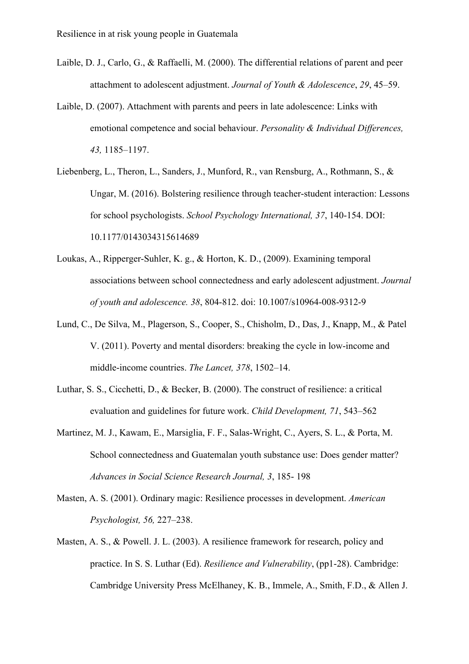- Laible, D. J., Carlo, G., & Raffaelli, M. (2000). The differential relations of parent and peer attachment to adolescent adjustment. *Journal of Youth & Adolescence*, *29*, 45–59.
- Laible, D. (2007). Attachment with parents and peers in late adolescence: Links with emotional competence and social behaviour. *Personality & Individual Differences, 43,* 1185–1197.
- Liebenberg, L., Theron, L., Sanders, J., Munford, R., van Rensburg, A., Rothmann, S., & Ungar, M. (2016). Bolstering resilience through teacher-student interaction: Lessons for school psychologists. *School Psychology International, 37*, 140-154. DOI: 10.1177/0143034315614689
- Loukas, A., Ripperger-Suhler, K. g., & Horton, K. D., (2009). Examining temporal associations between school connectedness and early adolescent adjustment. *Journal of youth and adolescence. 38*, 804-812. doi: 10.1007/s10964-008-9312-9
- Lund, C., De Silva, M., Plagerson, S., Cooper, S., Chisholm, D., Das, J., Knapp, M., & Patel V. (2011). Poverty and mental disorders: breaking the cycle in low-income and middle-income countries. *The Lancet, 378*, 1502–14.
- Luthar, S. S., Cicchetti, D., & Becker, B. (2000). The construct of resilience: a critical evaluation and guidelines for future work. *Child Development, 71*, 543–562
- Martinez, M. J., Kawam, E., Marsiglia, F. F., Salas-Wright, C., Ayers, S. L., & Porta, M. School connectedness and Guatemalan youth substance use: Does gender matter? *Advances in Social Science Research Journal, 3*, 185- 198
- Masten, A. S. (2001). Ordinary magic: Resilience processes in development. *American Psychologist, 56,* 227–238.
- Masten, A. S., & Powell. J. L. (2003). A resilience framework for research, policy and practice. In S. S. Luthar (Ed). *Resilience and Vulnerability*, (pp1-28). Cambridge: Cambridge University Press McElhaney, K. B., Immele, A., Smith, F.D., & Allen J.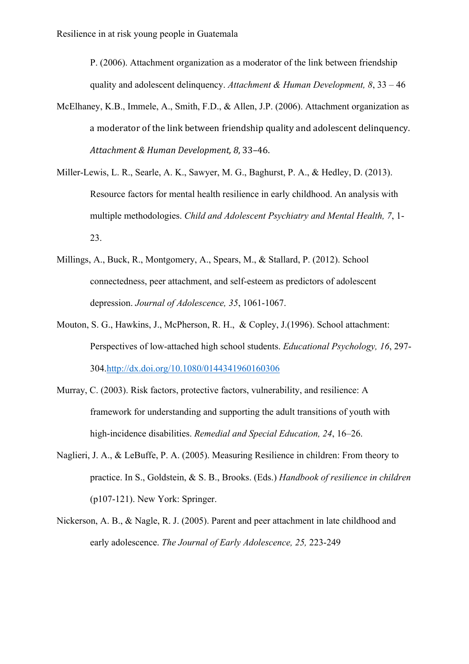P. (2006). Attachment organization as a moderator of the link between friendship quality and adolescent delinquency. *Attachment & Human Development, 8*, 33 – 46

- McElhaney, K.B., Immele, A., Smith, F.D., & Allen, J.P. (2006). Attachment organization as a moderator of the link between friendship quality and adolescent delinquency. Attachment & Human Development, 8, 33-46.
- Miller-Lewis, L. R., Searle, A. K., Sawyer, M. G., Baghurst, P. A., & Hedley, D. (2013). Resource factors for mental health resilience in early childhood. An analysis with multiple methodologies. *Child and Adolescent Psychiatry and Mental Health, 7*, 1- 23.
- Millings, A., Buck, R., Montgomery, A., Spears, M., & Stallard, P. (2012). School connectedness, peer attachment, and self-esteem as predictors of adolescent depression. *Journal of Adolescence, 35*, 1061-1067.
- Mouton, S. G., Hawkins, J., McPherson, R. H., & Copley, J.(1996). School attachment: Perspectives of low-attached high school students. *Educational Psychology, 16*, 297- 304.http://dx.doi.org/10.1080/0144341960160306
- Murray, C. (2003). Risk factors, protective factors, vulnerability, and resilience: A framework for understanding and supporting the adult transitions of youth with high-incidence disabilities. *Remedial and Special Education, 24*, 16–26.
- Naglieri, J. A., & LeBuffe, P. A. (2005). Measuring Resilience in children: From theory to practice. In S., Goldstein, & S. B., Brooks. (Eds.) *Handbook of resilience in children*  (p107-121). New York: Springer.
- Nickerson, A. B., & Nagle, R. J. (2005). Parent and peer attachment in late childhood and early adolescence. *The Journal of Early Adolescence, 25,* 223-249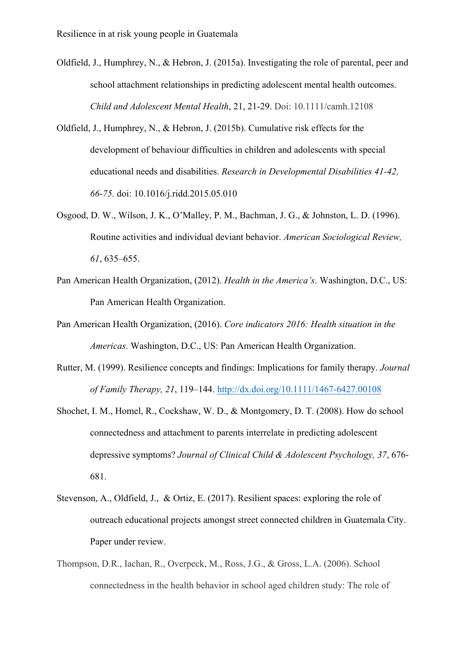- Oldfield, J., Humphrey, N., & Hebron, J. (2015a). Investigating the role of parental, peer and school attachment relationships in predicting adolescent mental health outcomes. *Child and Adolescent Mental Health*, 21, 21-29. Doi: 10.1111/camh.12108
- Oldfield, J., Humphrey, N., & Hebron, J. (2015b). Cumulative risk effects for the development of behaviour difficulties in children and adolescents with special educational needs and disabilities. *Research in Developmental Disabilities 41-42, 66-75.* doi: 10.1016/j.ridd.2015.05.010
- Osgood, D. W., Wilson, J. K., O'Malley, P. M., Bachman, J. G., & Johnston, L. D. (1996). Routine activities and individual deviant behavior. *American Sociological Review, 61*, 635–655.
- Pan American Health Organization, (2012). *Health in the America's*. Washington, D.C., US: Pan American Health Organization.
- Pan American Health Organization, (2016). *Core indicators 2016: Health situation in the Americas*. Washington, D.C., US: Pan American Health Organization.
- Rutter, M. (1999). Resilience concepts and findings: Implications for family therapy. *Journal of Family Therapy, 21*, 119–144. http://dx.doi.org/10.1111/1467-6427.00108
- Shochet, I. M., Homel, R., Cockshaw, W. D., & Montgomery, D. T. (2008). How do school connectedness and attachment to parents interrelate in predicting adolescent depressive symptoms? *Journal of Clinical Child & Adolescent Psychology, 37*, 676- 681.
- Stevenson, A., Oldfield, J., & Ortiz, E. (2017). Resilient spaces: exploring the role of outreach educational projects amongst street connected children in Guatemala City. Paper under review.
- Thompson, D.R., Iachan, R., Overpeck, M., Ross, J.G., & Gross, L.A. (2006). School connectedness in the health behavior in school aged children study: The role of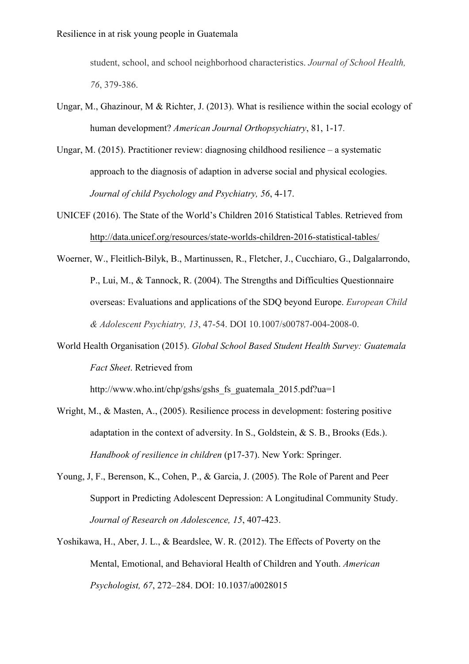student, school, and school neighborhood characteristics. *Journal of School Health, 76*, 379-386.

- Ungar, M., Ghazinour, M & Richter, J. (2013). What is resilience within the social ecology of human development? *American Journal Orthopsychiatry*, 81, 1-17.
- Ungar, M. (2015). Practitioner review: diagnosing childhood resilience a systematic approach to the diagnosis of adaption in adverse social and physical ecologies. *Journal of child Psychology and Psychiatry, 56*, 4-17.
- UNICEF (2016). The State of the World's Children 2016 Statistical Tables. Retrieved from http://data.unicef.org/resources/state-worlds-children-2016-statistical-tables/
- Woerner, W., Fleitlich-Bilyk, B., Martinussen, R., Fletcher, J., Cucchiaro, G., Dalgalarrondo, P., Lui, M., & Tannock, R. (2004). The Strengths and Difficulties Questionnaire overseas: Evaluations and applications of the SDQ beyond Europe. *European Child & Adolescent Psychiatry, 13*, 47-54. DOI 10.1007/s00787-004-2008-0.
- World Health Organisation (2015). *Global School Based Student Health Survey: Guatemala Fact Sheet*. Retrieved from

http://www.who.int/chp/gshs/gshs fs\_guatemala\_2015.pdf?ua=1

- Wright, M., & Masten, A., (2005). Resilience process in development: fostering positive adaptation in the context of adversity. In S., Goldstein, & S. B., Brooks (Eds.). *Handbook of resilience in children* (p17-37). New York: Springer.
- Young, J, F., Berenson, K., Cohen, P., & Garcia, J. (2005). The Role of Parent and Peer Support in Predicting Adolescent Depression: A Longitudinal Community Study. *Journal of Research on Adolescence, 15*, 407-423.
- Yoshikawa, H., Aber, J. L., & Beardslee, W. R. (2012). The Effects of Poverty on the Mental, Emotional, and Behavioral Health of Children and Youth. *American Psychologist, 67*, 272–284. DOI: 10.1037/a0028015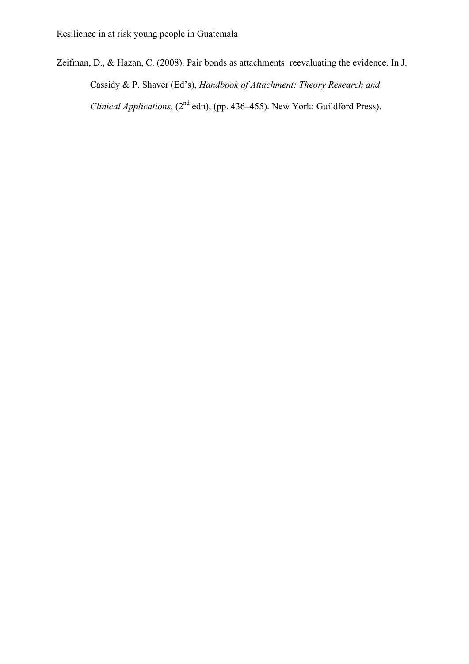Zeifman, D., & Hazan, C. (2008). Pair bonds as attachments: reevaluating the evidence. In J. Cassidy & P. Shaver (Ed's), *Handbook of Attachment: Theory Research and Clinical Applications*, (2<sup>nd</sup> edn), (pp. 436–455). New York: Guildford Press).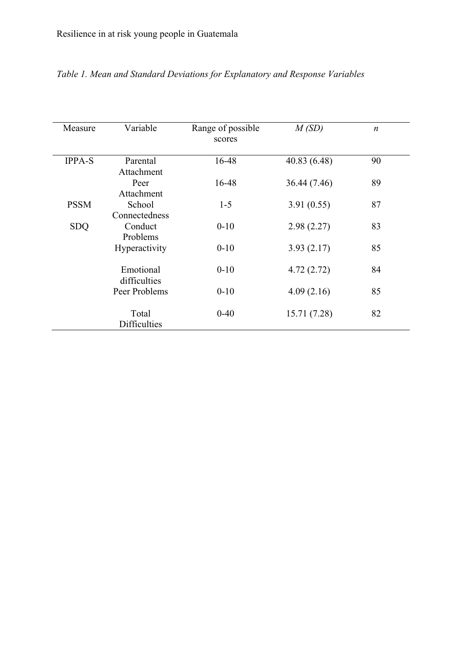| Measure       | Variable                  | Range of possible<br>scores | M(SD)        | $\boldsymbol{n}$ |
|---------------|---------------------------|-----------------------------|--------------|------------------|
| <b>IPPA-S</b> | Parental<br>Attachment    | 16-48                       | 40.83 (6.48) | 90               |
|               | Peer<br>Attachment        | 16-48                       | 36.44 (7.46) | 89               |
| <b>PSSM</b>   | School<br>Connectedness   | $1 - 5$                     | 3.91(0.55)   | 87               |
| <b>SDQ</b>    | Conduct<br>Problems       | $0-10$                      | 2.98(2.27)   | 83               |
|               | Hyperactivity             | $0 - 10$                    | 3.93(2.17)   | 85               |
|               | Emotional<br>difficulties | $0 - 10$                    | 4.72(2.72)   | 84               |
|               | Peer Problems             | $0-10$                      | 4.09(2.16)   | 85               |
|               | Total<br>Difficulties     | $0 - 40$                    | 15.71 (7.28) | 82               |

# *Table 1. Mean and Standard Deviations for Explanatory and Response Variables*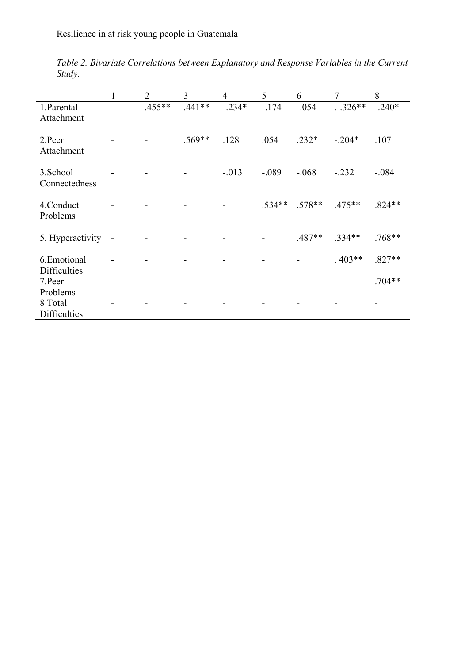|                                    |                | $\overline{2}$ | 3        | $\overline{4}$ | 5        | 6        | 7         | 8        |
|------------------------------------|----------------|----------------|----------|----------------|----------|----------|-----------|----------|
| 1. Parental<br>Attachment          |                | $.455**$       | $.441**$ | $-.234*$       | $-174$   | $-.054$  | $-.326**$ | $-.240*$ |
| 2.Peer<br>Attachment               |                |                | .569**   | .128           | .054     | $.232*$  | $-.204*$  | .107     |
| 3.School<br>Connectedness          |                |                |          | $-0.013$       | $-.089$  | $-0.068$ | $-.232$   | $-.084$  |
| 4. Conduct<br>Problems             |                |                |          |                | $.534**$ | $.578**$ | $.475**$  | $.824**$ |
| 5. Hyperactivity                   | $\overline{a}$ |                |          |                |          | $.487**$ | $.334**$  | $.768**$ |
| 6.Emotional<br><b>Difficulties</b> |                |                |          |                |          |          | $.403**$  | $.827**$ |
| 7.Peer<br>Problems                 |                |                |          |                |          |          |           | $.704**$ |
| 8 Total<br>Difficulties            |                |                |          |                |          |          |           |          |

*Table 2. Bivariate Correlations between Explanatory and Response Variables in the Current Study.*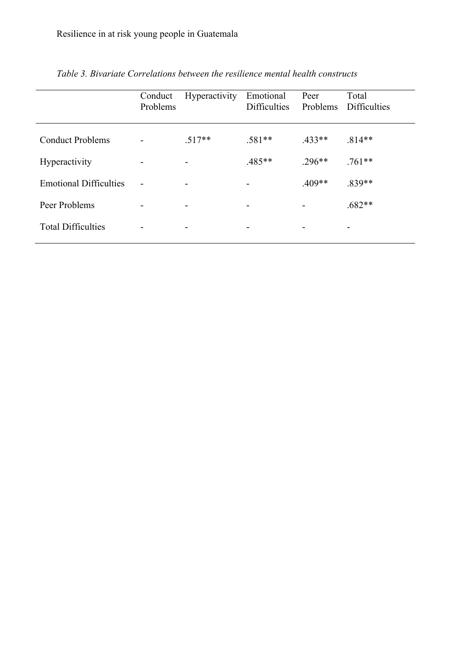|                               | Conduct<br>Problems | <b>Hyperactivity</b> | Emotional<br><b>Difficulties</b> | Peer<br>Problems | Total<br><b>Difficulties</b> |
|-------------------------------|---------------------|----------------------|----------------------------------|------------------|------------------------------|
| <b>Conduct Problems</b>       |                     | $.517**$             | $.581**$                         | $433**$          | $.814**$                     |
| <b>Hyperactivity</b>          |                     |                      | $.485**$                         | $.296**$         | $.761**$                     |
| <b>Emotional Difficulties</b> |                     |                      |                                  | $.409**$         | .839**                       |
| Peer Problems                 |                     |                      |                                  |                  | $.682**$                     |
| <b>Total Difficulties</b>     |                     |                      |                                  |                  |                              |
|                               |                     |                      |                                  |                  |                              |

*Table 3. Bivariate Correlations between the resilience mental health constructs*